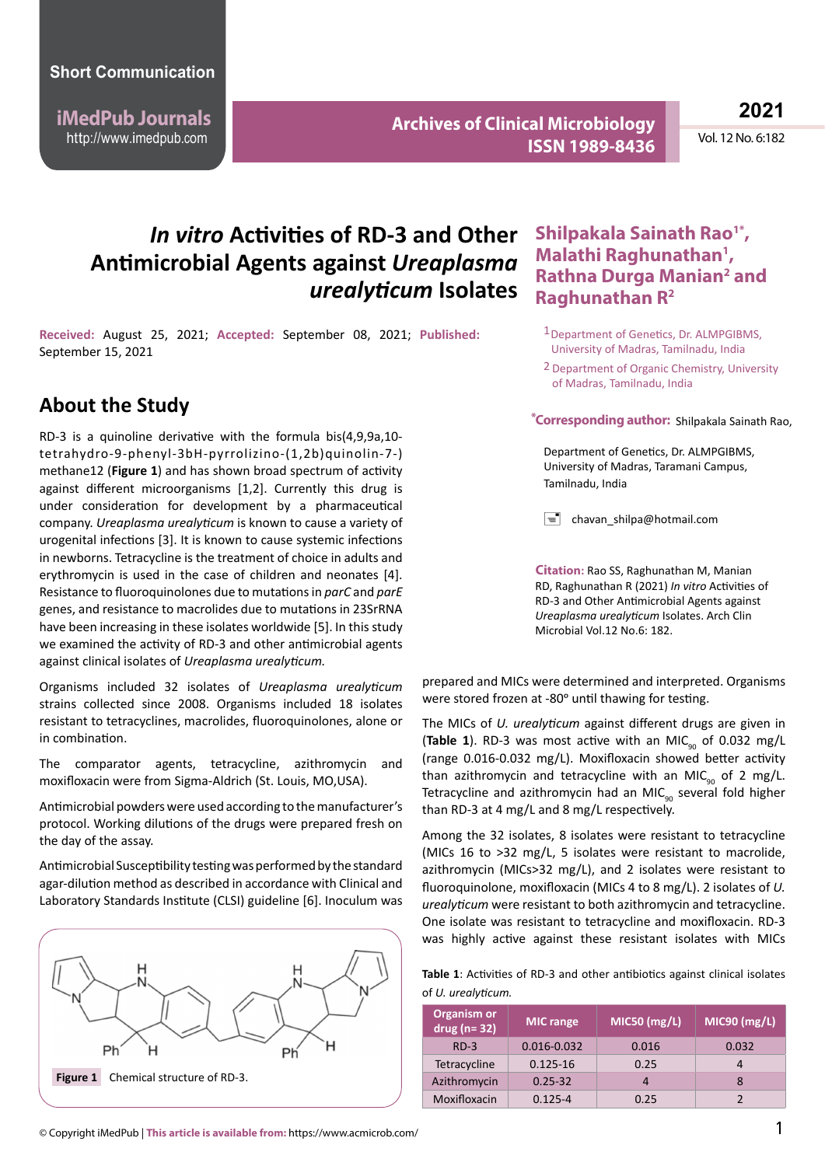**iMedPub Journals** http://www.imedpub.com

**Archives of Clinical Microbiology ISSN 1989-8436**

**2021**

Vol. 12 No. 6:182

# *In vitro* **Activities of RD-3 and Other Antimicrobial Agents against** *Ureaplasma urealyticum* **Isolates**

**Received:** August 25, 2021; **Accepted:** September 08, 2021; **Published:**  September 15, 2021

### **About the Study**

RD-3 is a quinoline derivative with the formula bis(4,9,9a,10 tetrahydro-9-phenyl-3bH-pyrrolizino-(1,2b)quinolin-7-) methane12 (**Figure 1**) and has shown broad spectrum of activity against different microorganisms [1,2]. Currently this drug is under consideration for development by a pharmaceutical company. *Ureaplasma urealyticum* is known to cause a variety of urogenital infections [3]. It is known to cause systemic infections in newborns. Tetracycline is the treatment of choice in adults and erythromycin is used in the case of children and neonates [4]. Resistance to fluoroquinolones due to mutationsin *parC* and *parE* genes, and resistance to macrolides due to mutations in 23SrRNA have been increasing in these isolates worldwide [5]. In this study we examined the activity of RD-3 and other antimicrobial agents against clinical isolates of *Ureaplasma urealyticum.*

Organisms included 32 isolates of *Ureaplasma urealyticum* strains collected since 2008. Organisms included 18 isolates resistant to tetracyclines, macrolides, fluoroquinolones, alone or in combination.

The comparator agents, tetracycline, azithromycin and moxifloxacin were from Sigma-Aldrich (St. Louis, MO,USA).

Antimicrobial powders were used according to the manufacturer's protocol. Working dilutions of the drugs were prepared fresh on the day of the assay.

Antimicrobial Susceptibility testing was performed by the standard agar-dilution method as described in accordance with Clinical and Laboratory Standards Institute (CLSI) guideline [6]. Inoculum was



#### **Shilpakala Sainath Rao1\*, Malathi Raghunathan1 , Rathna Durga Manian<sup>2</sup> and Raghunathan R2**

- 1 Department of Genetics, Dr. ALMPGIBMS, University of Madras, Tamilnadu, India
- <sup>2</sup> Department of Organic Chemistry, University of Madras, Tamilnadu, India

**Corresponding author:** Shilpakala Sainath Rao, **\***

Department of Genetics, Dr. ALMPGIBMS, University of Madras, Taramani Campus, Tamilnadu, India

 $\equiv$  chavan shilpa@hotmail.com

**Citation:** Rao SS, Raghunathan M, Manian RD, Raghunathan R (2021) *In vitro* Activities of RD-3 and Other Antimicrobial Agents against *Ureaplasma urealyticum* Isolates. Arch Clin Microbial Vol.12 No.6: 182.

prepared and MICs were determined and interpreted. Organisms were stored frozen at -80° until thawing for testing.

The MICs of *U. urealyticum* against different drugs are given in (Table 1). RD-3 was most active with an MIC<sub>on</sub> of 0.032 mg/L (range 0.016-0.032 mg/L). Moxifloxacin showed better activity than azithromycin and tetracycline with an MIC<sub>90</sub> of 2 mg/L. Tetracycline and azithromycin had an MIC $_{90}$  several fold higher than RD-3 at 4 mg/L and 8 mg/L respectively.

Among the 32 isolates, 8 isolates were resistant to tetracycline (MICs 16 to >32 mg/L, 5 isolates were resistant to macrolide, azithromycin (MICs>32 mg/L), and 2 isolates were resistant to fluoroquinolone, moxifloxacin (MICs 4 to 8 mg/L). 2 isolates of *U. urealyticum* were resistant to both azithromycin and tetracycline. One isolate was resistant to tetracycline and moxifloxacin. RD-3 was highly active against these resistant isolates with MICs

| Table 1: Activities of RD-3 and other antibiotics against clinical isolates |  |  |  |  |
|-----------------------------------------------------------------------------|--|--|--|--|
| of U. urealyticum.                                                          |  |  |  |  |

| Organism or<br>drug ( $n=32$ ) | MIC range    | MIC50 (mg/L) | MIC90 (mg/L) |  |
|--------------------------------|--------------|--------------|--------------|--|
| $RD-3$                         | 0.016-0.032  | 0.016        | 0.032        |  |
| Tetracycline                   | $0.125 - 16$ | 0.25         |              |  |
| Azithromycin                   | $0.25 - 32$  | 4            | 8            |  |
| Moxifloxacin                   | $0.125 - 4$  | 0.25         |              |  |